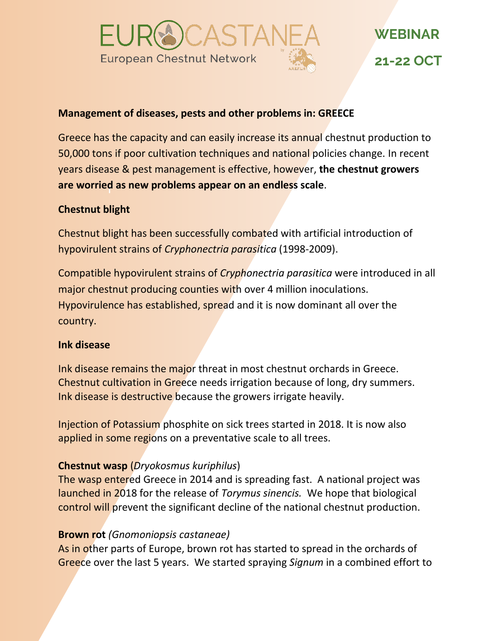

# **Management of diseases, pests and other problems in: GREECE**

r **are worried as new problems appear on an endless scale**. Greece has the capacity and can easily increase its annual chestnut production to 50,000 tons if poor cultivation techniques and national policies change. In recent years disease & pest management is effective, however, **the chestnut growers** 

# **Chestnut blight**

Chestnut blight has been successfully combated with artificial introduction of hypovirulent strains of *Cryphonectria parasitica* (1998-2009).

Compatible hypovirulent strains of *Cryphonectria parasitica* were introduced in all major chestnut producing counties with over 4 million inoculations. Hypovirulence has established, spread and it is now dominant all over the country.

## **Ink disease**

Ink disease remains the major threat in most chestnut orchards in Greece. Chestnut cultivation in Greece needs irrigation because of long, dry summers. Ink disease is destructive because the growers irrigate heavily.

Injection of Potassium phosphite on sick trees started in 2018. It is now also applied in some regions on a preventative scale to all trees.

## **Chestnut wasp** (*Dryokosmus kuriphilus*)

The wasp entered Greece in 2014 and is spreading fast. A national project was launched in 2018 for the release of *Torymus sinencis.* We hope that biological control will prevent the significant decline of the national chestnut production.

## **Brown rot** *(Gnomoniopsis castaneae)*

As in other parts of Europe, brown rot has started to spread in the orchards of Greece over the last 5 years. We started spraying *Signum* in a combined effort to